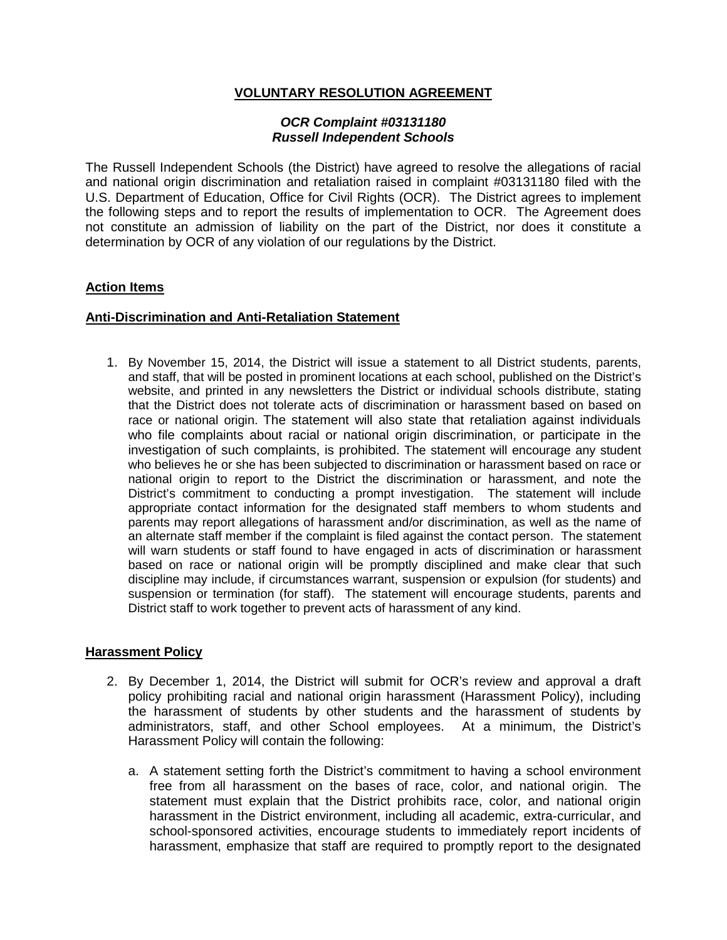## **VOLUNTARY RESOLUTION AGREEMENT**

#### *OCR Complaint #03131180 Russell Independent Schools*

The Russell Independent Schools (the District) have agreed to resolve the allegations of racial and national origin discrimination and retaliation raised in complaint #03131180 filed with the U.S. Department of Education, Office for Civil Rights (OCR). The District agrees to implement the following steps and to report the results of implementation to OCR. The Agreement does not constitute an admission of liability on the part of the District, nor does it constitute a determination by OCR of any violation of our regulations by the District.

### **Action Items**

### **Anti-Discrimination and Anti-Retaliation Statement**

1. By November 15, 2014, the District will issue a statement to all District students, parents, and staff, that will be posted in prominent locations at each school, published on the District's website, and printed in any newsletters the District or individual schools distribute, stating that the District does not tolerate acts of discrimination or harassment based on based on race or national origin. The statement will also state that retaliation against individuals who file complaints about racial or national origin discrimination, or participate in the investigation of such complaints, is prohibited. The statement will encourage any student who believes he or she has been subjected to discrimination or harassment based on race or national origin to report to the District the discrimination or harassment, and note the District's commitment to conducting a prompt investigation. The statement will include appropriate contact information for the designated staff members to whom students and parents may report allegations of harassment and/or discrimination, as well as the name of an alternate staff member if the complaint is filed against the contact person. The statement will warn students or staff found to have engaged in acts of discrimination or harassment based on race or national origin will be promptly disciplined and make clear that such discipline may include, if circumstances warrant, suspension or expulsion (for students) and suspension or termination (for staff). The statement will encourage students, parents and District staff to work together to prevent acts of harassment of any kind.

### **Harassment Policy**

- 2. By December 1, 2014, the District will submit for OCR's review and approval a draft policy prohibiting racial and national origin harassment (Harassment Policy), including the harassment of students by other students and the harassment of students by administrators, staff, and other School employees. At a minimum, the District's Harassment Policy will contain the following:
	- a. A statement setting forth the District's commitment to having a school environment free from all harassment on the bases of race, color, and national origin. The statement must explain that the District prohibits race, color, and national origin harassment in the District environment, including all academic, extra-curricular, and school-sponsored activities, encourage students to immediately report incidents of harassment, emphasize that staff are required to promptly report to the designated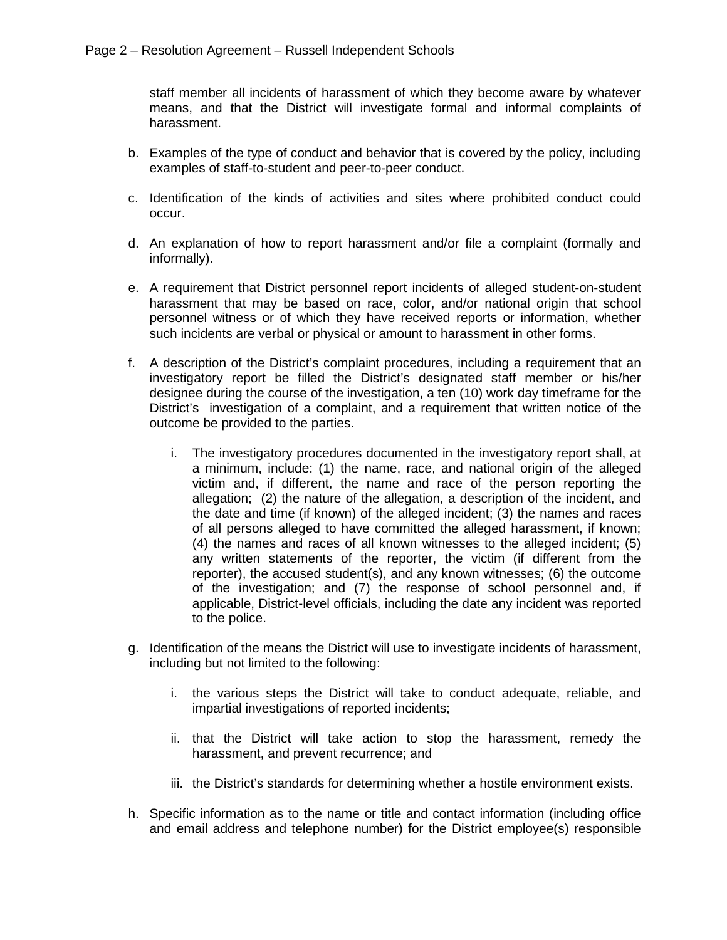staff member all incidents of harassment of which they become aware by whatever means, and that the District will investigate formal and informal complaints of harassment.

- b. Examples of the type of conduct and behavior that is covered by the policy, including examples of staff-to-student and peer-to-peer conduct.
- c. Identification of the kinds of activities and sites where prohibited conduct could occur.
- d. An explanation of how to report harassment and/or file a complaint (formally and informally).
- e. A requirement that District personnel report incidents of alleged student-on-student harassment that may be based on race, color, and/or national origin that school personnel witness or of which they have received reports or information, whether such incidents are verbal or physical or amount to harassment in other forms.
- f. A description of the District's complaint procedures, including a requirement that an investigatory report be filled the District's designated staff member or his/her designee during the course of the investigation, a ten (10) work day timeframe for the District's investigation of a complaint, and a requirement that written notice of the outcome be provided to the parties.
	- i. The investigatory procedures documented in the investigatory report shall, at a minimum, include: (1) the name, race, and national origin of the alleged victim and, if different, the name and race of the person reporting the allegation; (2) the nature of the allegation, a description of the incident, and the date and time (if known) of the alleged incident; (3) the names and races of all persons alleged to have committed the alleged harassment, if known; (4) the names and races of all known witnesses to the alleged incident; (5) any written statements of the reporter, the victim (if different from the reporter), the accused student(s), and any known witnesses; (6) the outcome of the investigation; and (7) the response of school personnel and, if applicable, District-level officials, including the date any incident was reported to the police.
- g. Identification of the means the District will use to investigate incidents of harassment, including but not limited to the following:
	- i. the various steps the District will take to conduct adequate, reliable, and impartial investigations of reported incidents;
	- ii. that the District will take action to stop the harassment, remedy the harassment, and prevent recurrence; and
	- iii. the District's standards for determining whether a hostile environment exists.
- h. Specific information as to the name or title and contact information (including office and email address and telephone number) for the District employee(s) responsible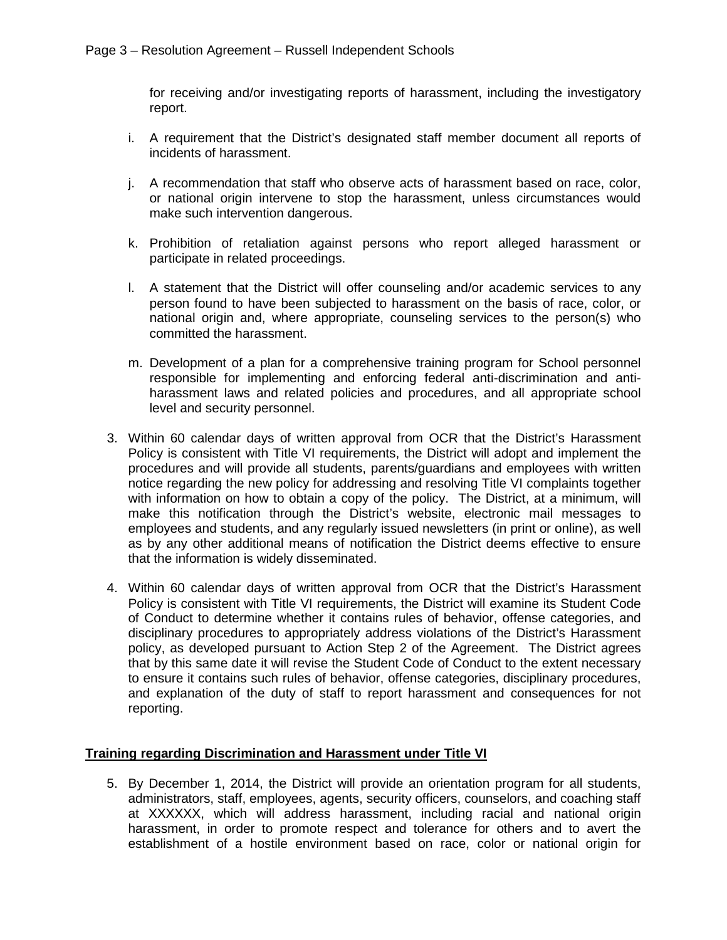for receiving and/or investigating reports of harassment, including the investigatory report.

- i. A requirement that the District's designated staff member document all reports of incidents of harassment.
- j. A recommendation that staff who observe acts of harassment based on race, color, or national origin intervene to stop the harassment, unless circumstances would make such intervention dangerous.
- k. Prohibition of retaliation against persons who report alleged harassment or participate in related proceedings.
- l. A statement that the District will offer counseling and/or academic services to any person found to have been subjected to harassment on the basis of race, color, or national origin and, where appropriate, counseling services to the person(s) who committed the harassment.
- m. Development of a plan for a comprehensive training program for School personnel responsible for implementing and enforcing federal anti-discrimination and antiharassment laws and related policies and procedures, and all appropriate school level and security personnel.
- 3. Within 60 calendar days of written approval from OCR that the District's Harassment Policy is consistent with Title VI requirements, the District will adopt and implement the procedures and will provide all students, parents/guardians and employees with written notice regarding the new policy for addressing and resolving Title VI complaints together with information on how to obtain a copy of the policy. The District, at a minimum, will make this notification through the District's website, electronic mail messages to employees and students, and any regularly issued newsletters (in print or online), as well as by any other additional means of notification the District deems effective to ensure that the information is widely disseminated.
- 4. Within 60 calendar days of written approval from OCR that the District's Harassment Policy is consistent with Title VI requirements, the District will examine its Student Code of Conduct to determine whether it contains rules of behavior, offense categories, and disciplinary procedures to appropriately address violations of the District's Harassment policy, as developed pursuant to Action Step 2 of the Agreement. The District agrees that by this same date it will revise the Student Code of Conduct to the extent necessary to ensure it contains such rules of behavior, offense categories, disciplinary procedures, and explanation of the duty of staff to report harassment and consequences for not reporting.

### **Training regarding Discrimination and Harassment under Title VI**

5. By December 1, 2014, the District will provide an orientation program for all students, administrators, staff, employees, agents, security officers, counselors, and coaching staff at XXXXXX, which will address harassment, including racial and national origin harassment, in order to promote respect and tolerance for others and to avert the establishment of a hostile environment based on race, color or national origin for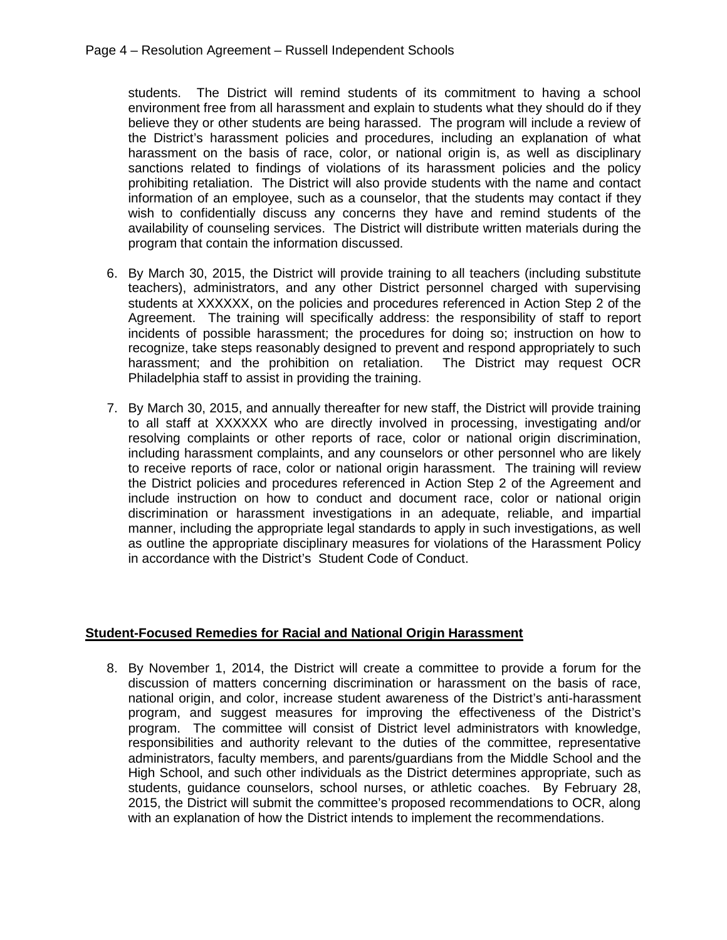students. The District will remind students of its commitment to having a school environment free from all harassment and explain to students what they should do if they believe they or other students are being harassed. The program will include a review of the District's harassment policies and procedures, including an explanation of what harassment on the basis of race, color, or national origin is, as well as disciplinary sanctions related to findings of violations of its harassment policies and the policy prohibiting retaliation. The District will also provide students with the name and contact information of an employee, such as a counselor, that the students may contact if they wish to confidentially discuss any concerns they have and remind students of the availability of counseling services. The District will distribute written materials during the program that contain the information discussed.

- 6. By March 30, 2015, the District will provide training to all teachers (including substitute teachers), administrators, and any other District personnel charged with supervising students at XXXXXX, on the policies and procedures referenced in Action Step 2 of the Agreement. The training will specifically address: the responsibility of staff to report incidents of possible harassment; the procedures for doing so; instruction on how to recognize, take steps reasonably designed to prevent and respond appropriately to such harassment; and the prohibition on retaliation. The District may request OCR Philadelphia staff to assist in providing the training.
- 7. By March 30, 2015, and annually thereafter for new staff, the District will provide training to all staff at XXXXXX who are directly involved in processing, investigating and/or resolving complaints or other reports of race, color or national origin discrimination, including harassment complaints, and any counselors or other personnel who are likely to receive reports of race, color or national origin harassment. The training will review the District policies and procedures referenced in Action Step 2 of the Agreement and include instruction on how to conduct and document race, color or national origin discrimination or harassment investigations in an adequate, reliable, and impartial manner, including the appropriate legal standards to apply in such investigations, as well as outline the appropriate disciplinary measures for violations of the Harassment Policy in accordance with the District's Student Code of Conduct.

### **Student-Focused Remedies for Racial and National Origin Harassment**

8. By November 1, 2014, the District will create a committee to provide a forum for the discussion of matters concerning discrimination or harassment on the basis of race, national origin, and color, increase student awareness of the District's anti-harassment program, and suggest measures for improving the effectiveness of the District's program. The committee will consist of District level administrators with knowledge, responsibilities and authority relevant to the duties of the committee, representative administrators, faculty members, and parents/guardians from the Middle School and the High School, and such other individuals as the District determines appropriate, such as students, guidance counselors, school nurses, or athletic coaches. By February 28, 2015, the District will submit the committee's proposed recommendations to OCR, along with an explanation of how the District intends to implement the recommendations.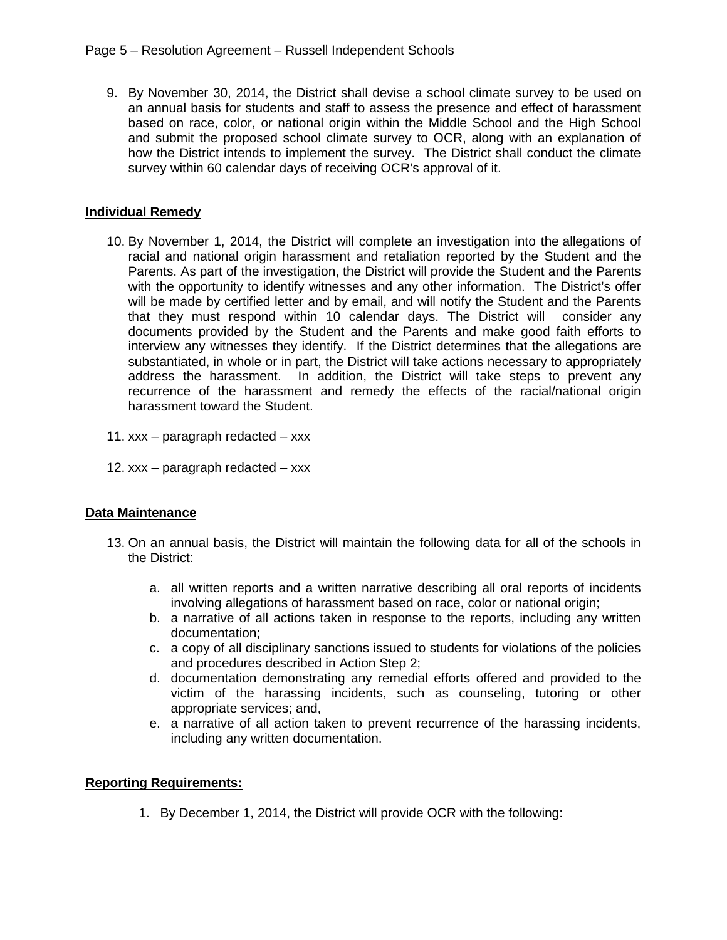9. By November 30, 2014, the District shall devise a school climate survey to be used on an annual basis for students and staff to assess the presence and effect of harassment based on race, color, or national origin within the Middle School and the High School and submit the proposed school climate survey to OCR, along with an explanation of how the District intends to implement the survey. The District shall conduct the climate survey within 60 calendar days of receiving OCR's approval of it.

# **Individual Remedy**

- 10. By November 1, 2014, the District will complete an investigation into the allegations of racial and national origin harassment and retaliation reported by the Student and the Parents. As part of the investigation, the District will provide the Student and the Parents with the opportunity to identify witnesses and any other information. The District's offer will be made by certified letter and by email, and will notify the Student and the Parents that they must respond within 10 calendar days. The District will consider any documents provided by the Student and the Parents and make good faith efforts to interview any witnesses they identify. If the District determines that the allegations are substantiated, in whole or in part, the District will take actions necessary to appropriately address the harassment. In addition, the District will take steps to prevent any recurrence of the harassment and remedy the effects of the racial/national origin harassment toward the Student.
- 11. xxx paragraph redacted xxx
- 12. xxx paragraph redacted xxx

### **Data Maintenance**

- 13. On an annual basis, the District will maintain the following data for all of the schools in the District:
	- a. all written reports and a written narrative describing all oral reports of incidents involving allegations of harassment based on race, color or national origin;
	- b. a narrative of all actions taken in response to the reports, including any written documentation;
	- c. a copy of all disciplinary sanctions issued to students for violations of the policies and procedures described in Action Step 2;
	- d. documentation demonstrating any remedial efforts offered and provided to the victim of the harassing incidents, such as counseling, tutoring or other appropriate services; and,
	- e. a narrative of all action taken to prevent recurrence of the harassing incidents, including any written documentation.

### **Reporting Requirements:**

1. By December 1, 2014, the District will provide OCR with the following: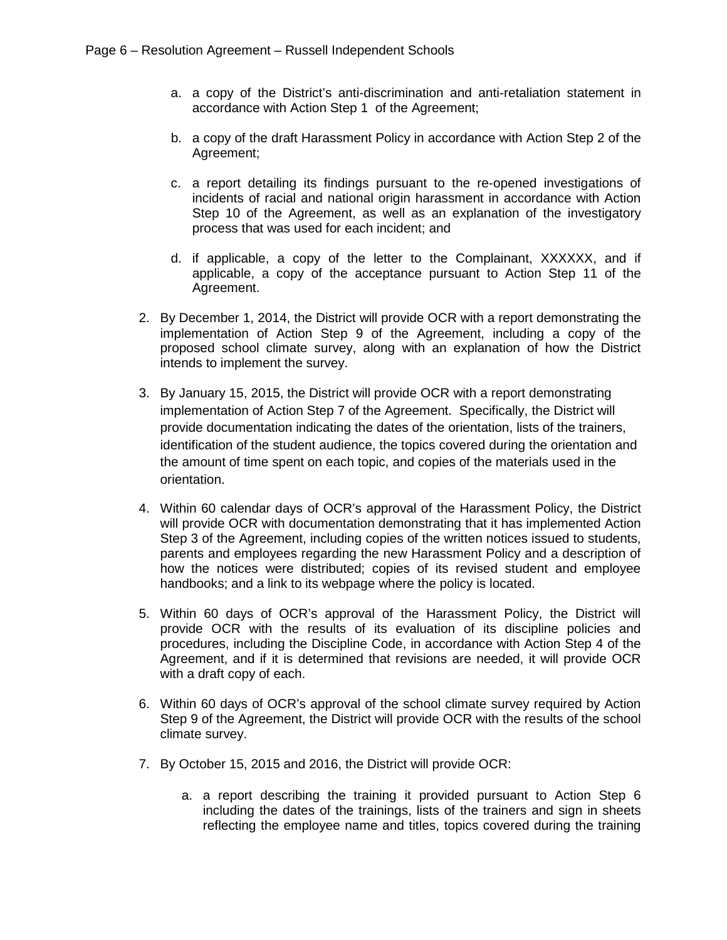- a. a copy of the District's anti-discrimination and anti-retaliation statement in accordance with Action Step 1 of the Agreement;
- b. a copy of the draft Harassment Policy in accordance with Action Step 2 of the Agreement;
- c. a report detailing its findings pursuant to the re-opened investigations of incidents of racial and national origin harassment in accordance with Action Step 10 of the Agreement, as well as an explanation of the investigatory process that was used for each incident; and
- d. if applicable, a copy of the letter to the Complainant, XXXXXX, and if applicable, a copy of the acceptance pursuant to Action Step 11 of the Agreement.
- 2. By December 1, 2014, the District will provide OCR with a report demonstrating the implementation of Action Step 9 of the Agreement, including a copy of the proposed school climate survey, along with an explanation of how the District intends to implement the survey.
- 3. By January 15, 2015, the District will provide OCR with a report demonstrating implementation of Action Step 7 of the Agreement. Specifically, the District will provide documentation indicating the dates of the orientation, lists of the trainers, identification of the student audience, the topics covered during the orientation and the amount of time spent on each topic, and copies of the materials used in the orientation.
- 4. Within 60 calendar days of OCR's approval of the Harassment Policy, the District will provide OCR with documentation demonstrating that it has implemented Action Step 3 of the Agreement, including copies of the written notices issued to students, parents and employees regarding the new Harassment Policy and a description of how the notices were distributed; copies of its revised student and employee handbooks; and a link to its webpage where the policy is located.
- 5. Within 60 days of OCR's approval of the Harassment Policy, the District will provide OCR with the results of its evaluation of its discipline policies and procedures, including the Discipline Code, in accordance with Action Step 4 of the Agreement, and if it is determined that revisions are needed, it will provide OCR with a draft copy of each.
- 6. Within 60 days of OCR's approval of the school climate survey required by Action Step 9 of the Agreement, the District will provide OCR with the results of the school climate survey.
- 7. By October 15, 2015 and 2016, the District will provide OCR:
	- a. a report describing the training it provided pursuant to Action Step 6 including the dates of the trainings, lists of the trainers and sign in sheets reflecting the employee name and titles, topics covered during the training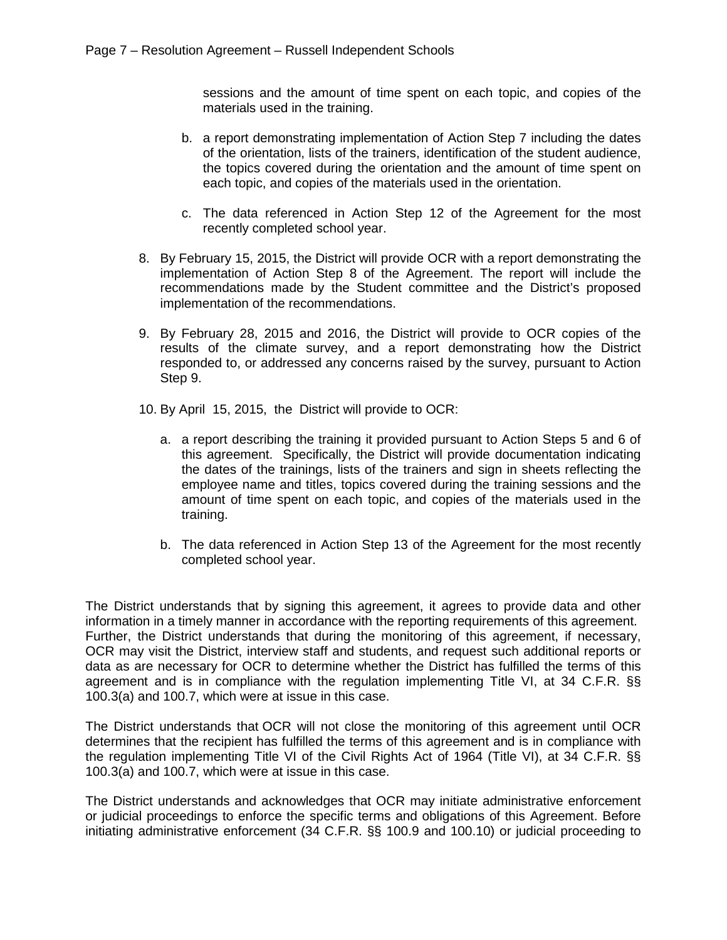sessions and the amount of time spent on each topic, and copies of the materials used in the training.

- b. a report demonstrating implementation of Action Step 7 including the dates of the orientation, lists of the trainers, identification of the student audience, the topics covered during the orientation and the amount of time spent on each topic, and copies of the materials used in the orientation.
- c. The data referenced in Action Step 12 of the Agreement for the most recently completed school year.
- 8. By February 15, 2015, the District will provide OCR with a report demonstrating the implementation of Action Step 8 of the Agreement. The report will include the recommendations made by the Student committee and the District's proposed implementation of the recommendations.
- 9. By February 28, 2015 and 2016, the District will provide to OCR copies of the results of the climate survey, and a report demonstrating how the District responded to, or addressed any concerns raised by the survey, pursuant to Action Step 9.
- 10. By April 15, 2015, the District will provide to OCR:
	- a. a report describing the training it provided pursuant to Action Steps 5 and 6 of this agreement. Specifically, the District will provide documentation indicating the dates of the trainings, lists of the trainers and sign in sheets reflecting the employee name and titles, topics covered during the training sessions and the amount of time spent on each topic, and copies of the materials used in the training.
	- b. The data referenced in Action Step 13 of the Agreement for the most recently completed school year.

The District understands that by signing this agreement, it agrees to provide data and other information in a timely manner in accordance with the reporting requirements of this agreement. Further, the District understands that during the monitoring of this agreement, if necessary, OCR may visit the District, interview staff and students, and request such additional reports or data as are necessary for OCR to determine whether the District has fulfilled the terms of this agreement and is in compliance with the regulation implementing Title VI, at 34 C.F.R. §§ 100.3(a) and 100.7, which were at issue in this case.

The District understands that OCR will not close the monitoring of this agreement until OCR determines that the recipient has fulfilled the terms of this agreement and is in compliance with the regulation implementing Title VI of the Civil Rights Act of 1964 (Title VI), at 34 C.F.R. §§ 100.3(a) and 100.7, which were at issue in this case.

The District understands and acknowledges that OCR may initiate administrative enforcement or judicial proceedings to enforce the specific terms and obligations of this Agreement. Before initiating administrative enforcement (34 C.F.R. §§ 100.9 and 100.10) or judicial proceeding to